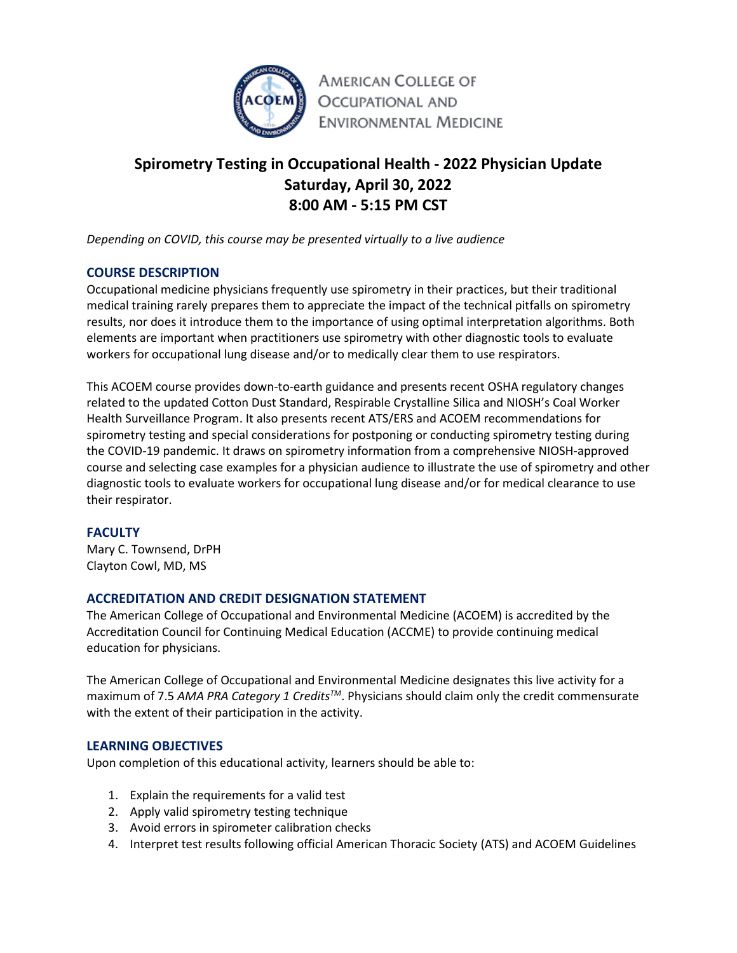

# **Spirometry Testing in Occupational Health - 2022 Physician Update Saturday, April 30, 2022 8:00 AM - 5:15 PM CST**

*Depending on COVID, this course may be presented virtually to a live audience*

## **COURSE DESCRIPTION**

Occupational medicine physicians frequently use spirometry in their practices, but their traditional medical training rarely prepares them to appreciate the impact of the technical pitfalls on spirometry results, nor does it introduce them to the importance of using optimal interpretation algorithms. Both elements are important when practitioners use spirometry with other diagnostic tools to evaluate workers for occupational lung disease and/or to medically clear them to use respirators.

This ACOEM course provides down-to-earth guidance and presents recent OSHA regulatory changes related to the updated Cotton Dust Standard, Respirable Crystalline Silica and NIOSH's Coal Worker Health Surveillance Program. It also presents recent ATS/ERS and ACOEM recommendations for spirometry testing and special considerations for postponing or conducting spirometry testing during the COVID-19 pandemic. It draws on spirometry information from a comprehensive NIOSH-approved course and selecting case examples for a physician audience to illustrate the use of spirometry and other diagnostic tools to evaluate workers for occupational lung disease and/or for medical clearance to use their respirator.

### **FACULTY**

Mary C. Townsend, DrPH Clayton Cowl, MD, MS

### **ACCREDITATION AND CREDIT DESIGNATION STATEMENT**

The American College of Occupational and Environmental Medicine (ACOEM) is accredited by the Accreditation Council for Continuing Medical Education (ACCME) to provide continuing medical education for physicians.

The American College of Occupational and Environmental Medicine designates this live activity for a maximum of 7.5 *AMA PRA Category 1 CreditsTM*. Physicians should claim only the credit commensurate with the extent of their participation in the activity.

### **LEARNING OBJECTIVES**

Upon completion of this educational activity, learners should be able to:

- 1. Explain the requirements for a valid test
- 2. Apply valid spirometry testing technique
- 3. Avoid errors in spirometer calibration checks
- 4. Interpret test results following official American Thoracic Society (ATS) and ACOEM Guidelines